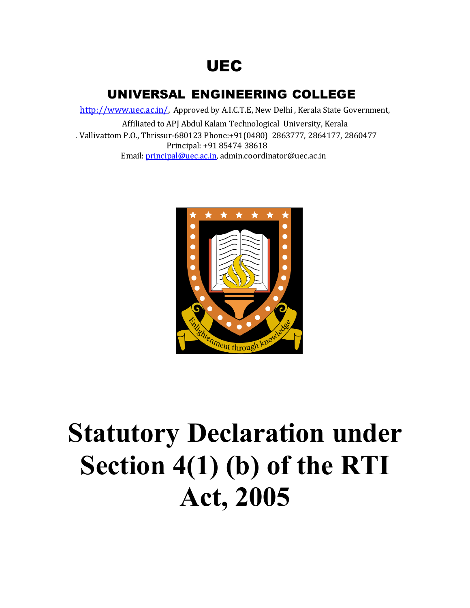## UEC

### UNIVERSAL ENGINEERING COLLEGE

[http://www.uec.ac.in/,](http://www.uec.ac.in/) Approved by A.I.C.T.E, New Delhi, Kerala State Government,

Affiliated to APJ Abdul Kalam Technological University, Kerala . Vallivattom P.O., Thrissur-680123 Phone:+91(0480) 2863777, 2864177, 2860477 Principal: +91 85474 38618 Email[: principal@uec.ac.in,](mailto:principal@uec.ac.in) admin.coordinator@uec.ac.in



# **Statutory Declaration under Section 4(1) (b) of the RTI Act, 2005**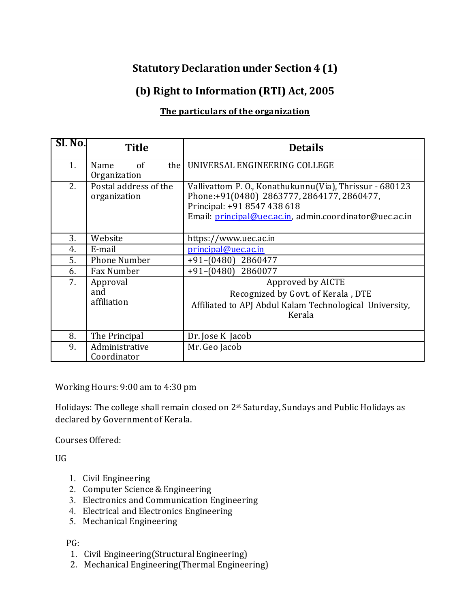#### **Statutory Declaration under Section 4 (1)**

#### **(b) Right to Information (RTI) Act, 2005**

#### **The particulars of the organization**

| <b>SI. No.</b> | <b>Title</b>                          | <b>Details</b>                                                                                                                                                                                   |  |  |
|----------------|---------------------------------------|--------------------------------------------------------------------------------------------------------------------------------------------------------------------------------------------------|--|--|
| 1.             | of<br>the I<br>Name<br>Organization   | UNIVERSAL ENGINEERING COLLEGE                                                                                                                                                                    |  |  |
| 2.             | Postal address of the<br>organization | Vallivattom P. O., Konathukunnu (Via), Thrissur - 680123<br>Phone:+91(0480) 2863777, 2864177, 2860477,<br>Principal: +91 8547 438 618<br>Email: principal@uec.ac.in, admin.coordinator@uec.ac.in |  |  |
| 3.             | Website                               | https://www.uec.ac.in                                                                                                                                                                            |  |  |
| 4.             | E-mail                                | principal@uec.ac.in                                                                                                                                                                              |  |  |
| 5.             | <b>Phone Number</b>                   | $+91-(0480)$<br>2860477                                                                                                                                                                          |  |  |
| 6.             | Fax Number                            | $+91-(0480)$<br>2860077                                                                                                                                                                          |  |  |
| 7.             | Approval                              | Approved by AICTE                                                                                                                                                                                |  |  |
|                | and                                   | Recognized by Govt. of Kerala, DTE                                                                                                                                                               |  |  |
|                | affiliation                           | Affiliated to APJ Abdul Kalam Technological University,<br>Kerala                                                                                                                                |  |  |
| 8.             | The Principal                         | Dr. Jose K Jacob                                                                                                                                                                                 |  |  |
| 9.             | Administrative<br>Coordinator         | Mr. Geo Jacob                                                                                                                                                                                    |  |  |

Working Hours: 9:00 am to 4:30 pm

Holidays: The college shall remain closed on 2st Saturday, Sundays and Public Holidays as declared by Government of Kerala.

Courses Offered:

UG

- 1. Civil Engineering
- 2. Computer Science & Engineering
- 3. Electronics and Communication Engineering
- 4. Electrical and Electronics Engineering
- 5. Mechanical Engineering

PG:

- 1. Civil Engineering(Structural Engineering)
- 2. Mechanical Engineering(Thermal Engineering)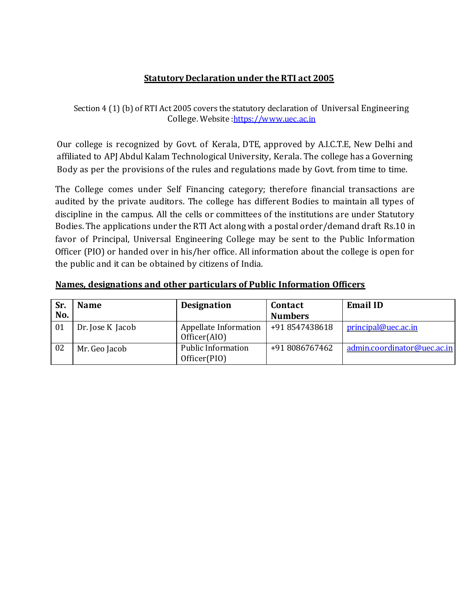#### **Statutory Declaration under the RTI act 2005**

Section 4 (1) (b) of RTI Act 2005 covers the statutory declaration of Universal Engineering College. Website [:https://www.u](https://www.dypiemr.ac.in/)ec.ac.in

Our college is recognized by Govt. of Kerala, DTE, approved by A.I.C.T.E, New Delhi and affiliated to APJ Abdul Kalam Technological University, Kerala. The college has a Governing Body as per the provisions of the rules and regulations made by Govt. from time to time.

The College comes under Self Financing category; therefore financial transactions are audited by the private auditors. The college has different Bodies to maintain all types of discipline in the campus. All the cells or committees of the institutions are under Statutory Bodies. The applications under the RTI Act along with a postal order/demand draft Rs.10 in favor of Principal, Universal Engineering College may be sent to the Public Information Officer (PIO) or handed over in his/her office. All information about the college is open for the public and it can be obtained by citizens of India.

| Sr. | <b>Name</b>      | <b>Designation</b>                    | <b>Contact</b> | <b>Email ID</b>             |
|-----|------------------|---------------------------------------|----------------|-----------------------------|
| No. |                  |                                       | <b>Numbers</b> |                             |
| 01  | Dr. Jose K Jacob | Appellate Information<br>Officer(AIO) | +91 8547438618 | principal@uec.ac.in         |
| 02  | Mr. Geo Jacob    | Public Information<br>Officer(PIO)    | +91 8086767462 | admin.coordinator@uec.ac.in |

#### **Names, designations and other particulars of Public Information Officers**